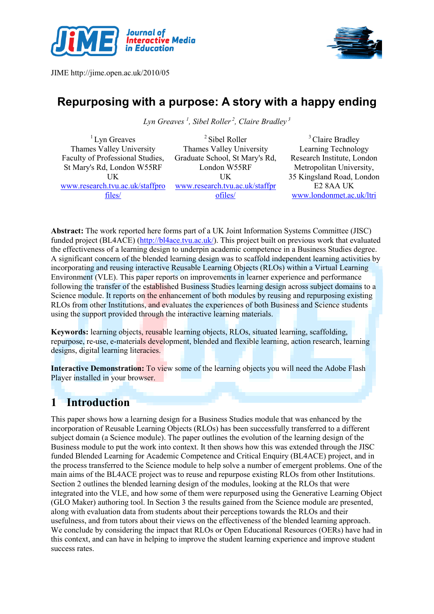



# Repurposing with a purpose: A story with a happy ending

Lyn Greaves <sup>1</sup>, Sibel Roller<sup>2</sup>, Claire Bradley <sup>3</sup>

 $<sup>1</sup>$  Lyn Greaves</sup> Thames Valley University Faculty of Professional Studies, St Mary's Rd, London W55RF UK www.research.tvu.ac.uk/staffpro files/

<sup>2</sup> Sibel Roller Thames Valley University Graduate School, St Mary's Rd, London W55RF UK www.research.tvu.ac.uk/staffpr ofiles/

<sup>3</sup> Claire Bradley Learning Technology Research Institute, London Metropolitan University, 35 Kingsland Road, London E2 8AA UK www.londonmet.ac.uk/ltri

Abstract: The work reported here forms part of a UK Joint Information Systems Committee (JISC) funded project (BL4ACE) (http://bl4ace.tvu.ac.uk/). This project built on previous work that evaluated the effectiveness of a learning design to underpin academic competence in a Business Studies degree. A significant concern of the blended learning design was to scaffold independent learning activities by incorporating and reusing interactive Reusable Learning Objects (RLOs) within a Virtual Learning Environment (VLE). This paper reports on improvements in learner experience and performance following the transfer of the established Business Studies learning design across subject domains to a Science module. It reports on the enhancement of both modules by reusing and repurposing existing RLOs from other Institutions, and evaluates the experiences of both Business and Science students using the support provided through the interactive learning materials.

Keywords: learning objects, reusable learning objects, RLOs, situated learning, scaffolding, repurpose, re-use, e-materials development, blended and flexible learning, action research, learning designs, digital learning literacies.

Interactive Demonstration: To view some of the learning objects you will need the Adobe Flash Player installed in your browser.

# 1 Introduction

This paper shows how a learning design for a Business Studies module that was enhanced by the incorporation of Reusable Learning Objects (RLOs) has been successfully transferred to a different subject domain (a Science module). The paper outlines the evolution of the learning design of the Business module to put the work into context. It then shows how this was extended through the JISC funded Blended Learning for Academic Competence and Critical Enquiry (BL4ACE) project, and in the process transferred to the Science module to help solve a number of emergent problems. One of the main aims of the BL4ACE project was to reuse and repurpose existing RLOs from other Institutions. Section 2 outlines the blended learning design of the modules, looking at the RLOs that were integrated into the VLE, and how some of them were repurposed using the Generative Learning Object (GLO Maker) authoring tool. In Section 3 the results gained from the Science module are presented, along with evaluation data from students about their perceptions towards the RLOs and their usefulness, and from tutors about their views on the effectiveness of the blended learning approach. We conclude by considering the impact that RLOs or Open Educational Resources (OERs) have had in this context, and can have in helping to improve the student learning experience and improve student success rates.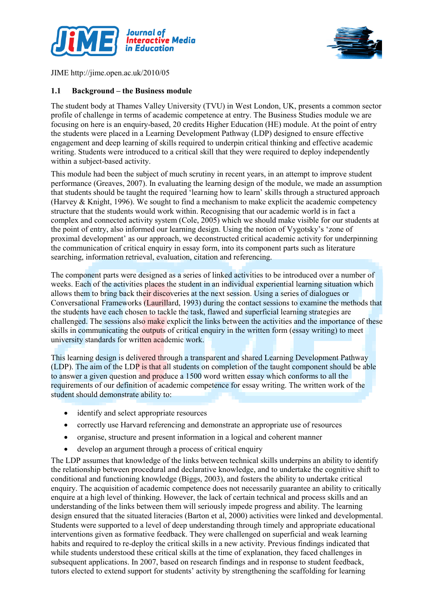



#### 1.1 Background – the Business module

The student body at Thames Valley University (TVU) in West London, UK, presents a common sector profile of challenge in terms of academic competence at entry. The Business Studies module we are focusing on here is an enquiry-based, 20 credits Higher Education (HE) module. At the point of entry the students were placed in a Learning Development Pathway (LDP) designed to ensure effective engagement and deep learning of skills required to underpin critical thinking and effective academic writing. Students were introduced to a critical skill that they were required to deploy independently within a subject-based activity.

This module had been the subject of much scrutiny in recent years, in an attempt to improve student performance (Greaves, 2007). In evaluating the learning design of the module, we made an assumption that students should be taught the required 'learning how to learn' skills through a structured approach (Harvey & Knight, 1996). We sought to find a mechanism to make explicit the academic competency structure that the students would work within. Recognising that our academic world is in fact a complex and connected activity system (Cole, 2005) which we should make visible for our students at the point of entry, also informed our learning design. Using the notion of Vygotsky's 'zone of proximal development' as our approach, we deconstructed critical academic activity for underpinning the communication of critical enquiry in essay form, into its component parts such as literature searching, information retrieval, evaluation, citation and referencing.

The component parts were designed as a series of linked activities to be introduced over a number of weeks. Each of the activities places the student in an individual experiential learning situation which allows them to bring back their discoveries at the next session. Using a series of dialogues or Conversational Frameworks (Laurillard, 1993) during the contact sessions to examine the methods that the students have each chosen to tackle the task, flawed and superficial learning strategies are challenged. The sessions also make explicit the links between the activities and the importance of these skills in communicating the outputs of critical enquiry in the written form (essay writing) to meet university standards for written academic work.

This learning design is delivered through a transparent and shared Learning Development Pathway (LDP). The aim of the LDP is that all students on completion of the taught component should be able to answer a given question and produce a 1500 word written essay which conforms to all the requirements of our definition of academic competence for essay writing. The written work of the student should demonstrate ability to:

- identify and select appropriate resources
- correctly use Harvard referencing and demonstrate an appropriate use of resources
- organise, structure and present information in a logical and coherent manner
- develop an argument through a process of critical enquiry

The LDP assumes that knowledge of the links between technical skills underpins an ability to identify the relationship between procedural and declarative knowledge, and to undertake the cognitive shift to conditional and functioning knowledge (Biggs, 2003), and fosters the ability to undertake critical enquiry. The acquisition of academic competence does not necessarily guarantee an ability to critically enquire at a high level of thinking. However, the lack of certain technical and process skills and an understanding of the links between them will seriously impede progress and ability. The learning design ensured that the situated literacies (Barton et al, 2000) activities were linked and developmental. Students were supported to a level of deep understanding through timely and appropriate educational interventions given as formative feedback. They were challenged on superficial and weak learning habits and required to re-deploy the critical skills in a new activity. Previous findings indicated that while students understood these critical skills at the time of explanation, they faced challenges in subsequent applications. In 2007, based on research findings and in response to student feedback, tutors elected to extend support for students' activity by strengthening the scaffolding for learning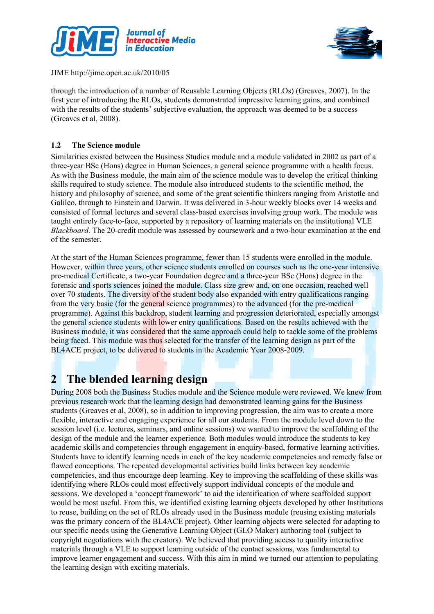



through the introduction of a number of Reusable Learning Objects (RLOs) (Greaves, 2007). In the first year of introducing the RLOs, students demonstrated impressive learning gains, and combined with the results of the students' subjective evaluation, the approach was deemed to be a success (Greaves et al, 2008).

#### 1.2 The Science module

Similarities existed between the Business Studies module and a module validated in 2002 as part of a three-year BSc (Hons) degree in Human Sciences, a general science programme with a health focus. As with the Business module, the main aim of the science module was to develop the critical thinking skills required to study science. The module also introduced students to the scientific method, the history and philosophy of science, and some of the great scientific thinkers ranging from Aristotle and Galileo, through to Einstein and Darwin. It was delivered in 3-hour weekly blocks over 14 weeks and consisted of formal lectures and several class-based exercises involving group work. The module was taught entirely face-to-face, supported by a repository of learning materials on the institutional VLE Blackboard. The 20-credit module was assessed by coursework and a two-hour examination at the end of the semester.

At the start of the Human Sciences programme, fewer than 15 students were enrolled in the module. However, within three years, other science students enrolled on courses such as the one-year intensive pre-medical Certificate, a two-year Foundation degree and a three-year BSc (Hons) degree in the forensic and sports sciences joined the module. Class size grew and, on one occasion, reached well over 70 students. The diversity of the student body also expanded with entry qualifications ranging from the very basic (for the general science programmes) to the advanced (for the pre-medical programme). Against this backdrop, student learning and progression deteriorated, especially amongst the general science students with lower entry qualifications. Based on the results achieved with the Business module, it was considered that the same approach could help to tackle some of the problems being faced. This module was thus selected for the transfer of the learning design as part of the BL4ACE project, to be delivered to students in the Academic Year 2008-2009.

## 2 The blended learning design

During 2008 both the Business Studies module and the Science module were reviewed. We knew from previous research work that the learning design had demonstrated learning gains for the Business students (Greaves et al, 2008), so in addition to improving progression, the aim was to create a more flexible, interactive and engaging experience for all our students. From the module level down to the session level (i.e. lectures, seminars, and online sessions) we wanted to improve the scaffolding of the design of the module and the learner experience. Both modules would introduce the students to key academic skills and competencies through engagement in enquiry-based, formative learning activities. Students have to identify learning needs in each of the key academic competencies and remedy false or flawed conceptions. The repeated developmental activities build links between key academic competencies, and thus encourage deep learning. Key to improving the scaffolding of these skills was identifying where RLOs could most effectively support individual concepts of the module and sessions. We developed a 'concept framework' to aid the identification of where scaffolded support would be most useful. From this, we identified existing learning objects developed by other Institutions to reuse, building on the set of RLOs already used in the Business module (reusing existing materials was the primary concern of the BL4ACE project). Other learning objects were selected for adapting to our specific needs using the Generative Learning Object (GLO Maker) authoring tool (subject to copyright negotiations with the creators). We believed that providing access to quality interactive materials through a VLE to support learning outside of the contact sessions, was fundamental to improve learner engagement and success. With this aim in mind we turned our attention to populating the learning design with exciting materials.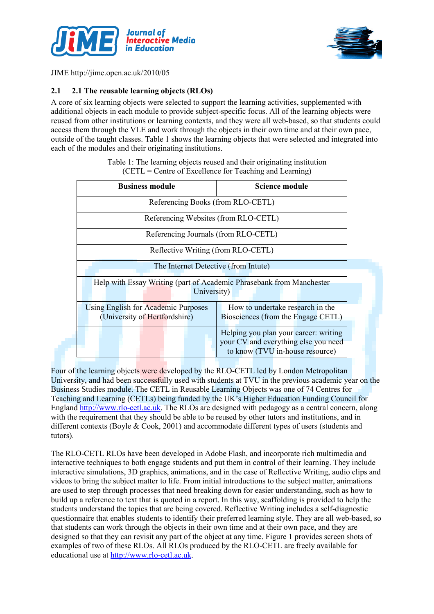



### 2.1 2.1 The reusable learning objects (RLOs)

A core of six learning objects were selected to support the learning activities, supplemented with additional objects in each module to provide subject-specific focus. All of the learning objects were reused from other institutions or learning contexts, and they were all web-based, so that students could access them through the VLE and work through the objects in their own time and at their own pace, outside of the taught classes. Table 1 shows the learning objects that were selected and integrated into each of the modules and their originating institutions.

| <b>Business module</b>                                                              | <b>Science module</b>                                                                                            |
|-------------------------------------------------------------------------------------|------------------------------------------------------------------------------------------------------------------|
| Referencing Books (from RLO-CETL)                                                   |                                                                                                                  |
| Referencing Websites (from RLO-CETL)                                                |                                                                                                                  |
| Referencing Journals (from RLO-CETL)                                                |                                                                                                                  |
| Reflective Writing (from RLO-CETL)                                                  |                                                                                                                  |
| The Internet Detective (from Intute)                                                |                                                                                                                  |
| Help with Essay Writing (part of Academic Phrasebank from Manchester<br>University) |                                                                                                                  |
| <b>Using English for Academic Purposes</b><br>(University of Hertfordshire)         | How to undertake research in the<br>Biosciences (from the Engage CETL)                                           |
|                                                                                     | Helping you plan your career: writing<br>your CV and everything else you need<br>to know (TVU in-house resource) |

Table 1: The learning objects reused and their originating institution (CETL = Centre of Excellence for Teaching and Learning)

Four of the learning objects were developed by the RLO-CETL led by London Metropolitan University, and had been successfully used with students at TVU in the previous academic year on the Business Studies module. The CETL in Reusable Learning Objects was one of 74 Centres for Teaching and Learning (CETLs) being funded by the UK's Higher Education Funding Council for England http://www.rlo-cetl.ac.uk. The RLOs are designed with pedagogy as a central concern, along with the requirement that they should be able to be reused by other tutors and institutions, and in different contexts (Boyle & Cook, 2001) and accommodate different types of users (students and tutors).

The RLO-CETL RLOs have been developed in Adobe Flash, and incorporate rich multimedia and interactive techniques to both engage students and put them in control of their learning. They include interactive simulations, 3D graphics, animations, and in the case of Reflective Writing, audio clips and videos to bring the subject matter to life. From initial introductions to the subject matter, animations are used to step through processes that need breaking down for easier understanding, such as how to build up a reference to text that is quoted in a report. In this way, scaffolding is provided to help the students understand the topics that are being covered. Reflective Writing includes a self-diagnostic questionnaire that enables students to identify their preferred learning style. They are all web-based, so that students can work through the objects in their own time and at their own pace, and they are designed so that they can revisit any part of the object at any time. Figure 1 provides screen shots of examples of two of these RLOs. All RLOs produced by the RLO-CETL are freely available for educational use at http://www.rlo-cetl.ac.uk.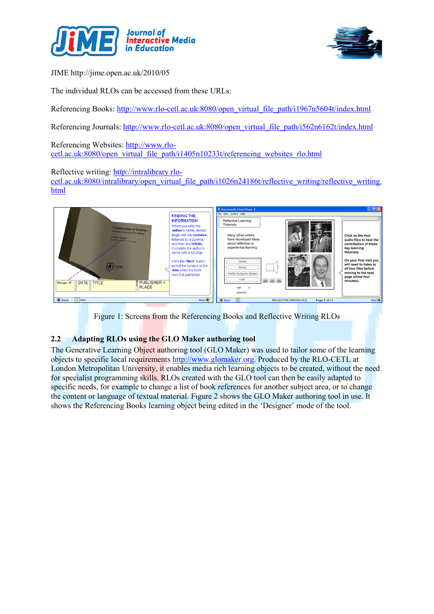



The individual RLOs can be accessed from these URLs:

Referencing Books: http://www.rlo-cetl.ac.uk:8080/open\_virtual\_file\_path/i1967n5604t/index.html

Referencing Journals: http://www.rlo-cetl.ac.uk:8080/open\_virtual\_file\_path/i562n6162t/index.html

Referencing Websites: http://www.rlocetl.ac.uk:8080/open\_virtual\_file\_path/i1405n10233t/referencing\_websites\_rlo.html

Reflective writing: http://intralibrary.rlo-

cetl.ac.uk:8080/intralibrary/open\_virtual\_file\_path/i1026n24186t/reflective\_writing/reflective\_writing. html



Figure 1: Screens from the Referencing Books and Reflective Writing RLOs

### 2.2 Adapting RLOs using the GLO Maker authoring tool

The Generative Learning Object authoring tool (GLO Maker) was used to tailor some of the learning objects to specific local requirements http://www.glomaker.org. Produced by the RLO-CETL at London Metropolitan University, it enables media rich learning objects to be created, without the need for specialist programming skills. RLOs created with the GLO tool can then be easily adapted to specific needs, for example to change a list of book references for another subject area, or to change the content or language of textual material. Figure 2 shows the GLO Maker authoring tool in use. It shows the Referencing Books learning object being edited in the 'Designer' mode of the tool.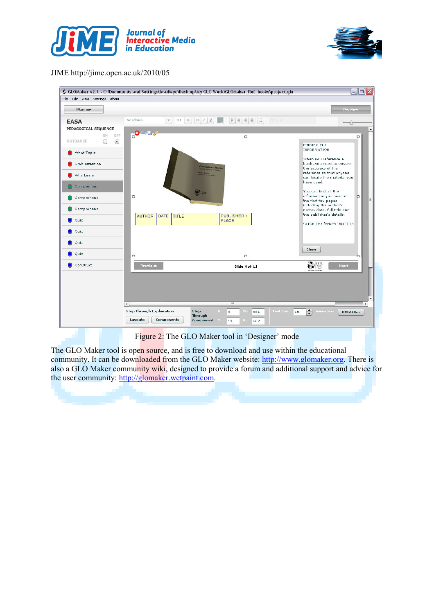







The GLO Maker tool is open source, and is free to download and use within the educational community. It can be downloaded from the GLO Maker website: http://www.glomaker.org. There is also a GLO Maker community wiki, designed to provide a forum and additional support and advice for the user community: http://glomaker.wetpaint.com.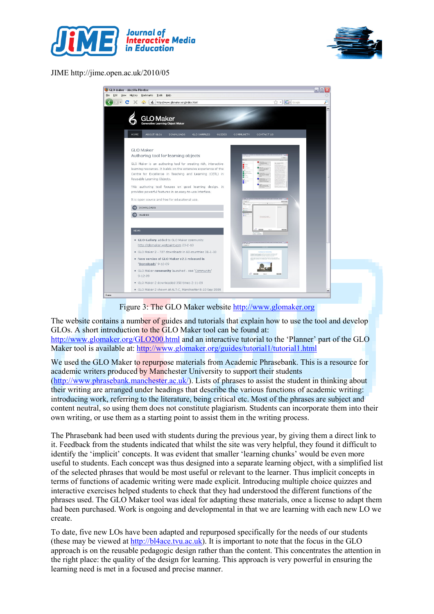



| Edit View History | Bookmarks Tools<br>Help                                                                                                                                                                                                           |                              |  |
|-------------------|-----------------------------------------------------------------------------------------------------------------------------------------------------------------------------------------------------------------------------------|------------------------------|--|
| c<br>×            | http://www.glomaker.org/index.html<br>合<br>6                                                                                                                                                                                      | ☆ · G- Google                |  |
| <b>HOME</b>       | <b>GLO Maker</b><br><b>Generative Learning Object Maker</b><br><b>ABOUT GLOS</b><br><b>DOWNLOADS</b><br><b>GLO SAMPLES</b><br><b>GUIDES</b><br>COMMUNITY                                                                          | <b>CONTACT US</b>            |  |
|                   | GLO Maker<br>Authoring tool for learning objects                                                                                                                                                                                  |                              |  |
|                   | GLO Maker is an authoring tool for creating rich, interactive<br>learning resources. It builds on the extensive experience of the<br>Centre for Excellence in Teaching and Learning (CETL) in<br>Reusable Learning Objects.<br>Ë. |                              |  |
|                   | This authoring tool focuses on good learning design. It<br>provides powerful features in an easy-to-use interface.                                                                                                                |                              |  |
|                   | It is open source and free for educational use.                                                                                                                                                                                   |                              |  |
|                   | DOWNLOADS                                                                                                                                                                                                                         |                              |  |
|                   | E<br>GUIDES                                                                                                                                                                                                                       | <b><i><u>Brendel</u></i></b> |  |
|                   | <b>NEWS</b>                                                                                                                                                                                                                       |                              |  |
|                   | · GLO Gallery added to GLO Maker community<br>http://glomaker.wetpaint.com 23-2-10                                                                                                                                                |                              |  |
|                   | · GLO Maker 2 - 727 downloads in 60 countries 31-1-10                                                                                                                                                                             |                              |  |
|                   | . New version of GLO Maker v2.1 released in<br>'Downloads' 9-12-09                                                                                                                                                                |                              |  |
|                   | · GLO Maker community launched - see 'Community'<br>$9 - 12 - 09$                                                                                                                                                                 | $0 =$<br><b>Black</b>        |  |
|                   | · GLO Maker 2 downloaded 350 times 2-11-09                                                                                                                                                                                        |                              |  |
|                   | · GLO Maker 2 shown at ALT-C, Manchester 8-10 Sep 2009                                                                                                                                                                            |                              |  |

Figure 3: The GLO Maker website http://www.glomaker.org

The website contains a number of guides and tutorials that explain how to use the tool and develop GLOs. A short introduction to the GLO Maker tool can be found at: http://www.glomaker.org/GLO200.html and an interactive tutorial to the 'Planner' part of the GLO Maker tool is available at: http://www.glomaker.org/guides/tutorial1/tutorial1.html

We used the GLO Maker to repurpose materials from Academic Phrasebank. This is a resource for academic writers produced by Manchester University to support their students (http://www.phrasebank.manchester.ac.uk/). Lists of phrases to assist the student in thinking about their writing are arranged under headings that describe the various functions of academic writing: introducing work, referring to the literature, being critical etc. Most of the phrases are subject and content neutral, so using them does not constitute plagiarism. Students can incorporate them into their own writing, or use them as a starting point to assist them in the writing process.

The Phrasebank had been used with students during the previous year, by giving them a direct link to it. Feedback from the students indicated that whilst the site was very helpful, they found it difficult to identify the 'implicit' concepts. It was evident that smaller 'learning chunks' would be even more useful to students. Each concept was thus designed into a separate learning object, with a simplified list of the selected phrases that would be most useful or relevant to the learner. Thus implicit concepts in terms of functions of academic writing were made explicit. Introducing multiple choice quizzes and interactive exercises helped students to check that they had understood the different functions of the phrases used. The GLO Maker tool was ideal for adapting these materials, once a license to adapt them had been purchased. Work is ongoing and developmental in that we are learning with each new LO we create.

To date, five new LOs have been adapted and repurposed specifically for the needs of our students (these may be viewed at  $\frac{http://b4ace.tvu.ac.uk)}{http://d4ace.tvu.ac.uk)}$ . It is important to note that the focus in the GLO approach is on the reusable pedagogic design rather than the content. This concentrates the attention in the right place: the quality of the design for learning. This approach is very powerful in ensuring the learning need is met in a focused and precise manner.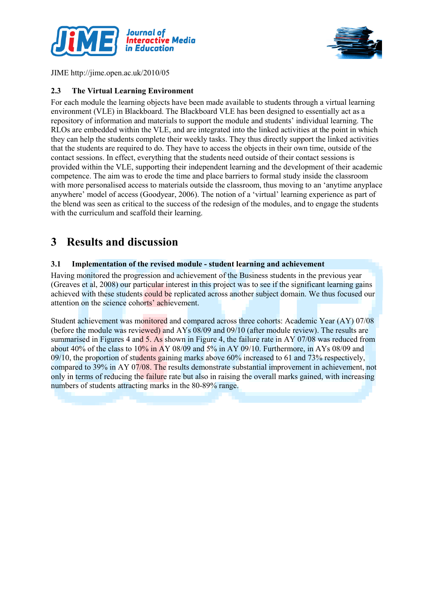



#### 2.3 The Virtual Learning Environment

For each module the learning objects have been made available to students through a virtual learning environment (VLE) in Blackboard. The Blackboard VLE has been designed to essentially act as a repository of information and materials to support the module and students' individual learning. The RLOs are embedded within the VLE, and are integrated into the linked activities at the point in which they can help the students complete their weekly tasks. They thus directly support the linked activities that the students are required to do. They have to access the objects in their own time, outside of the contact sessions. In effect, everything that the students need outside of their contact sessions is provided within the VLE, supporting their independent learning and the development of their academic competence. The aim was to erode the time and place barriers to formal study inside the classroom with more personalised access to materials outside the classroom, thus moving to an 'anytime anyplace anywhere' model of access (Goodyear, 2006). The notion of a 'virtual' learning experience as part of the blend was seen as critical to the success of the redesign of the modules, and to engage the students with the curriculum and scaffold their learning.

## 3 Results and discussion

#### 3.1 Implementation of the revised module - student learning and achievement

Having monitored the progression and achievement of the Business students in the previous year (Greaves et al, 2008) our particular interest in this project was to see if the significant learning gains achieved with these students could be replicated across another subject domain. We thus focused our attention on the science cohorts' achievement.

Student achievement was monitored and compared across three cohorts: Academic Year (AY) 07/08 (before the module was reviewed) and AYs 08/09 and 09/10 (after module review). The results are summarised in Figures 4 and 5. As shown in Figure 4, the failure rate in AY 07/08 was reduced from about 40% of the class to 10% in AY 08/09 and 5% in AY 09/10. Furthermore, in AYs 08/09 and 09/10, the proportion of students gaining marks above 60% increased to 61 and 73% respectively, compared to 39% in AY 07/08. The results demonstrate substantial improvement in achievement, not only in terms of reducing the failure rate but also in raising the overall marks gained, with increasing numbers of students attracting marks in the 80-89% range.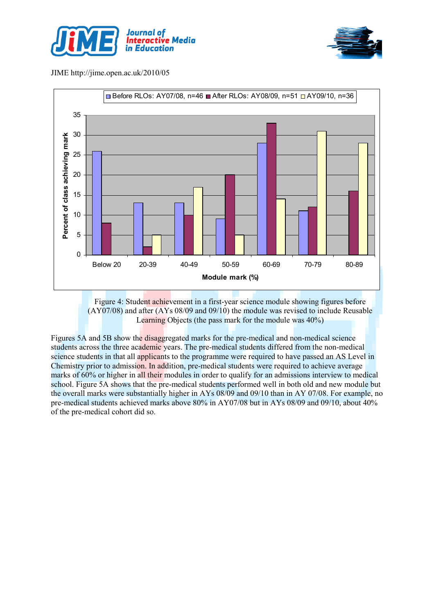





Figure 4: Student achievement in a first-year science module showing figures before (AY07/08) and after (AYs 08/09 and 09/10) the module was revised to include Reusable Learning Objects (the pass mark for the module was 40%)

Figures 5A and 5B show the disaggregated marks for the pre-medical and non-medical science students across the three academic years. The pre-medical students differed from the non-medical science students in that all applicants to the programme were required to have passed an AS Level in Chemistry prior to admission. In addition, pre-medical students were required to achieve average marks of 60% or higher in all their modules in order to qualify for an admissions interview to medical school. Figure 5A shows that the pre-medical students performed well in both old and new module but the overall marks were substantially higher in AYs 08/09 and 09/10 than in AY 07/08. For example, no pre-medical students achieved marks above 80% in AY07/08 but in AYs 08/09 and 09/10, about 40% of the pre-medical cohort did so.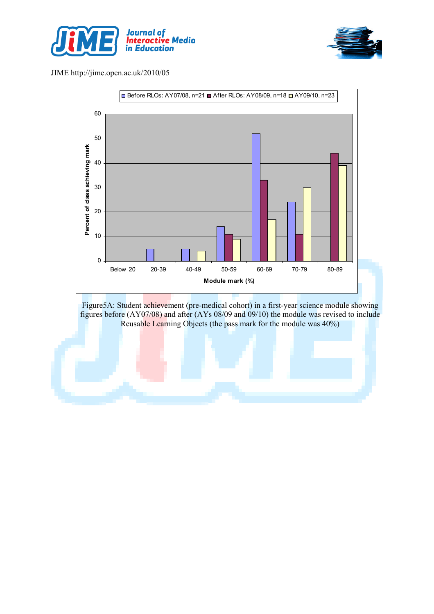





Figure5A: Student achievement (pre-medical cohort) in a first-year science module showing figures before (AY07/08) and after (AYs 08/09 and 09/10) the module was revised to include Reusable Learning Objects (the pass mark for the module was 40%)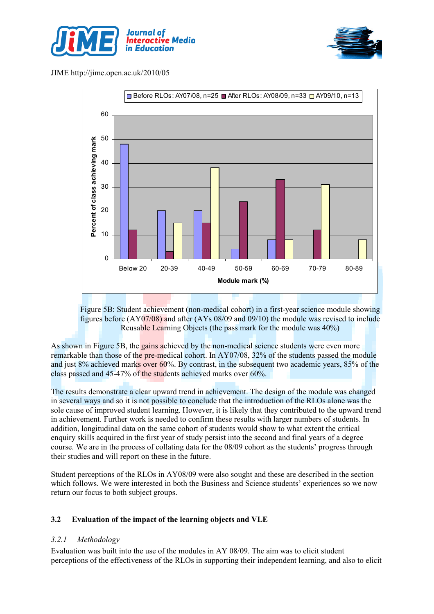





Figure 5B: Student achievement (non-medical cohort) in a first-year science module showing figures before (AY07/08) and after (AYs 08/09 and 09/10) the module was revised to include Reusable Learning Objects (the pass mark for the module was 40%)

As shown in Figure 5B, the gains achieved by the non-medical science students were even more remarkable than those of the pre-medical cohort. In AY07/08, 32% of the students passed the module and just 8% achieved marks over 60%. By contrast, in the subsequent two academic years, 85% of the class passed and 45-47% of the students achieved marks over 60%.

The results demonstrate a clear upward trend in achievement. The design of the module was changed in several ways and so it is not possible to conclude that the introduction of the RLOs alone was the sole cause of improved student learning. However, it is likely that they contributed to the upward trend in achievement. Further work is needed to confirm these results with larger numbers of students. In addition, longitudinal data on the same cohort of students would show to what extent the critical enquiry skills acquired in the first year of study persist into the second and final years of a degree course. We are in the process of collating data for the 08/09 cohort as the students' progress through their studies and will report on these in the future.

Student perceptions of the RLOs in AY08/09 were also sought and these are described in the section which follows. We were interested in both the Business and Science students' experiences so we now return our focus to both subject groups.

#### 3.2 Evaluation of the impact of the learning objects and VLE

#### 3.2.1 Methodology

Evaluation was built into the use of the modules in AY 08/09. The aim was to elicit student perceptions of the effectiveness of the RLOs in supporting their independent learning, and also to elicit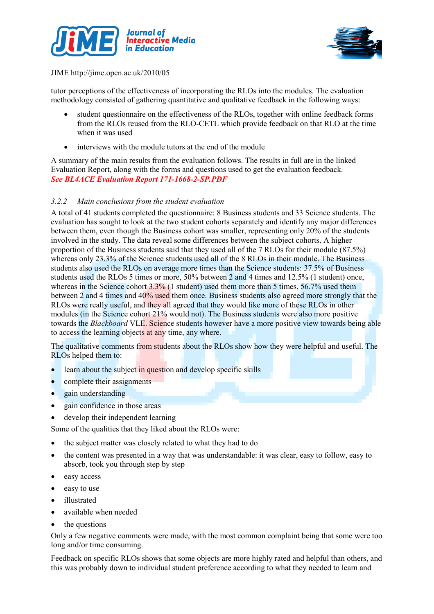



tutor perceptions of the effectiveness of incorporating the RLOs into the modules. The evaluation methodology consisted of gathering quantitative and qualitative feedback in the following ways:

- student questionnaire on the effectiveness of the RLOs, together with online feedback forms from the RLOs reused from the RLO-CETL which provide feedback on that RLO at the time when it was used
- interviews with the module tutors at the end of the module

A summary of the main results from the evaluation follows. The results in full are in the linked Evaluation Report, along with the forms and questions used to get the evaluation feedback. See BL4ACE Evaluation Report 171-1668-2-SP.PDF

#### 3.2.2 Main conclusions from the student evaluation

A total of 41 students completed the questionnaire: 8 Business students and 33 Science students. The evaluation has sought to look at the two student cohorts separately and identify any major differences between them, even though the Business cohort was smaller, representing only 20% of the students involved in the study. The data reveal some differences between the subject cohorts. A higher proportion of the Business students said that they used all of the 7 RLOs for their module (87.5%) whereas only 23.3% of the Science students used all of the 8 RLOs in their module. The Business students also used the RLOs on average more times than the Science students: 37.5% of Business students used the RLOs 5 times or more, 50% between 2 and 4 times and 12.5% (1 student) once, whereas in the Science cohort 3.3% (1 student) used them more than 5 times, 56.7% used them between 2 and 4 times and 40% used them once. Business students also agreed more strongly that the RLOs were really useful, and they all agreed that they would like more of these RLOs in other modules (in the Science cohort 21% would not). The Business students were also more positive towards the *Blackboard* VLE. Science students however have a more positive view towards being able to access the learning objects at any time, any where.

The qualitative comments from students about the RLOs show how they were helpful and useful. The RLOs helped them to:

- learn about the subject in question and develop specific skills
- complete their assignments
- gain understanding
- gain confidence in those areas
- develop their independent learning

Some of the qualities that they liked about the RLOs were:

- the subject matter was closely related to what they had to do
- the content was presented in a way that was understandable: it was clear, easy to follow, easy to absorb, took you through step by step
- easy access
- easy to use
- illustrated
- available when needed
- the questions

Only a few negative comments were made, with the most common complaint being that some were too long and/or time consuming.

Feedback on specific RLOs shows that some objects are more highly rated and helpful than others, and this was probably down to individual student preference according to what they needed to learn and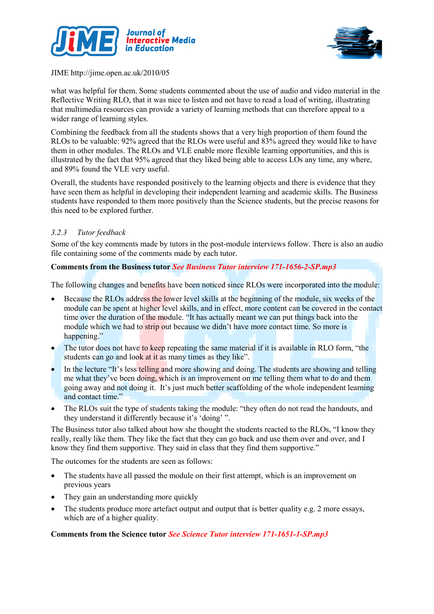



what was helpful for them. Some students commented about the use of audio and video material in the Reflective Writing RLO, that it was nice to listen and not have to read a load of writing, illustrating that multimedia resources can provide a variety of learning methods that can therefore appeal to a wider range of learning styles.

Combining the feedback from all the students shows that a very high proportion of them found the RLOs to be valuable: 92% agreed that the RLOs were useful and 83% agreed they would like to have them in other modules. The RLOs and VLE enable more flexible learning opportunities, and this is illustrated by the fact that 95% agreed that they liked being able to access LOs any time, any where, and 89% found the VLE very useful.

Overall, the students have responded positively to the learning objects and there is evidence that they have seen them as helpful in developing their independent learning and academic skills. The Business students have responded to them more positively than the Science students, but the precise reasons for this need to be explored further.

### 3.2.3 Tutor feedback

Some of the key comments made by tutors in the post-module interviews follow. There is also an audio file containing some of the comments made by each tutor.

#### Comments from the Business tutor See Business Tutor interview 171-1656-2-SP.mp3

The following changes and benefits have been noticed since RLOs were incorporated into the module:

- Because the RLOs address the lower level skills at the beginning of the module, six weeks of the module can be spent at higher level skills, and in effect, more content can be covered in the contact time over the duration of the module. "It has actually meant we can put things back into the module which we had to strip out because we didn't have more contact time. So more is happening."
- The tutor does not have to keep repeating the same material if it is available in RLO form, "the students can go and look at it as many times as they like".
- In the lecture "It's less telling and more showing and doing. The students are showing and telling me what they've been doing, which is an improvement on me telling them what to do and them going away and not doing it. It's just much better scaffolding of the whole independent learning and contact time."
- The RLOs suit the type of students taking the module: "they often do not read the handouts, and they understand it differently because it's 'doing' ".

The Business tutor also talked about how she thought the students reacted to the RLOs, "I know they really, really like them. They like the fact that they can go back and use them over and over, and I know they find them supportive. They said in class that they find them supportive."

The outcomes for the students are seen as follows:

- The students have all passed the module on their first attempt, which is an improvement on previous years
- They gain an understanding more quickly
- The students produce more artefact output and output that is better quality e.g. 2 more essays, which are of a higher quality.

#### Comments from the Science tutor See Science Tutor interview 171-1651-1-SP.mp3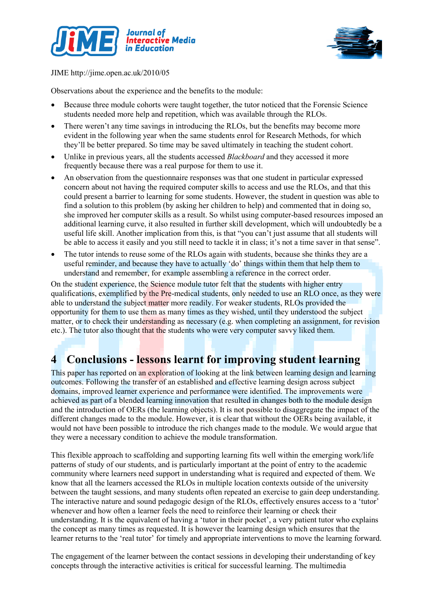



Observations about the experience and the benefits to the module:

- Because three module cohorts were taught together, the tutor noticed that the Forensic Science students needed more help and repetition, which was available through the RLOs.
- There weren't any time savings in introducing the RLOs, but the benefits may become more evident in the following year when the same students enrol for Research Methods, for which they'll be better prepared. So time may be saved ultimately in teaching the student cohort.
- Unlike in previous years, all the students accessed *Blackboard* and they accessed it more frequently because there was a real purpose for them to use it.
- An observation from the questionnaire responses was that one student in particular expressed concern about not having the required computer skills to access and use the RLOs, and that this could present a barrier to learning for some students. However, the student in question was able to find a solution to this problem (by asking her children to help) and commented that in doing so, she improved her computer skills as a result. So whilst using computer-based resources imposed an additional learning curve, it also resulted in further skill development, which will undoubtedly be a useful life skill. Another implication from this, is that "you can't just assume that all students will be able to access it easily and you still need to tackle it in class; it's not a time saver in that sense".
- The tutor intends to reuse some of the RLOs again with students, because she thinks they are a useful reminder, and because they have to actually 'do' things within them that help them to understand and remember, for example assembling a reference in the correct order.

On the student experience, the Science module tutor felt that the students with higher entry qualifications, exemplified by the Pre-medical students, only needed to use an RLO once, as they were able to understand the subject matter more readily. For weaker students, RLOs provided the opportunity for them to use them as many times as they wished, until they understood the subject matter, or to check their understanding as necessary (e.g. when completing an assignment, for revision etc.). The tutor also thought that the students who were very computer savvy liked them.

## 4 Conclusions - lessons learnt for improving student learning

This paper has reported on an exploration of looking at the link between learning design and learning outcomes. Following the transfer of an established and effective learning design across subject domains, improved learner experience and performance were identified. The improvements were achieved as part of a blended learning innovation that resulted in changes both to the module design and the introduction of OERs (the learning objects). It is not possible to disaggregate the impact of the different changes made to the module. However, it is clear that without the OERs being available, it would not have been possible to introduce the rich changes made to the module. We would argue that they were a necessary condition to achieve the module transformation.

This flexible approach to scaffolding and supporting learning fits well within the emerging work/life patterns of study of our students, and is particularly important at the point of entry to the academic community where learners need support in understanding what is required and expected of them. We know that all the learners accessed the RLOs in multiple location contexts outside of the university between the taught sessions, and many students often repeated an exercise to gain deep understanding. The interactive nature and sound pedagogic design of the RLOs, effectively ensures access to a 'tutor' whenever and how often a learner feels the need to reinforce their learning or check their understanding. It is the equivalent of having a 'tutor in their pocket', a very patient tutor who explains the concept as many times as requested. It is however the learning design which ensures that the learner returns to the 'real tutor' for timely and appropriate interventions to move the learning forward.

The engagement of the learner between the contact sessions in developing their understanding of key concepts through the interactive activities is critical for successful learning. The multimedia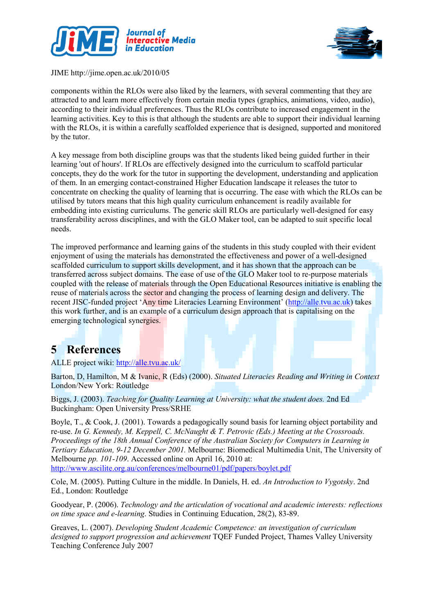



components within the RLOs were also liked by the learners, with several commenting that they are attracted to and learn more effectively from certain media types (graphics, animations, video, audio), according to their individual preferences. Thus the RLOs contribute to increased engagement in the learning activities. Key to this is that although the students are able to support their individual learning with the RLOs, it is within a carefully scaffolded experience that is designed, supported and monitored by the tutor.

A key message from both discipline groups was that the students liked being guided further in their learning 'out of hours'. If RLOs are effectively designed into the curriculum to scaffold particular concepts, they do the work for the tutor in supporting the development, understanding and application of them. In an emerging contact-constrained Higher Education landscape it releases the tutor to concentrate on checking the quality of learning that is occurring. The ease with which the RLOs can be utilised by tutors means that this high quality curriculum enhancement is readily available for embedding into existing curriculums. The generic skill RLOs are particularly well-designed for easy transferability across disciplines, and with the GLO Maker tool, can be adapted to suit specific local needs.

The improved performance and learning gains of the students in this study coupled with their evident enjoyment of using the materials has demonstrated the effectiveness and power of a well-designed scaffolded curriculum to support skills development, and it has shown that the approach can be transferred across subject domains. The ease of use of the GLO Maker tool to re-purpose materials coupled with the release of materials through the Open Educational Resources initiative is enabling the reuse of materials across the sector and changing the process of learning design and delivery. The recent JISC-funded project 'Any time Literacies Learning Environment' (http://alle.tvu.ac.uk) takes this work further, and is an example of a curriculum design approach that is capitalising on the emerging technological synergies.

# 5 References

ALLE project wiki: http://alle.tvu.ac.uk/

Barton, D, Hamilton, M & Ivanic, R (Eds) (2000). Situated Literacies Reading and Writing in Context London/New York: Routledge

Biggs, J. (2003). Teaching for Quality Learning at University: what the student does. 2nd Ed Buckingham: Open University Press/SRHE

Boyle, T., & Cook, J. (2001). Towards a pedagogically sound basis for learning object portability and re-use. In G. Kennedy, M. Keppell, C. McNaught & T. Petrovic (Eds.) Meeting at the Crossroads. Proceedings of the 18th Annual Conference of the Australian Society for Computers in Learning in Tertiary Education, 9-12 December 2001. Melbourne: Biomedical Multimedia Unit, The University of Melbourne pp. 101-109. Accessed online on April 16, 2010 at: http://www.ascilite.org.au/conferences/melbourne01/pdf/papers/boylet.pdf

Cole, M. (2005). Putting Culture in the middle. In Daniels, H. ed. An Introduction to Vygotsky. 2nd Ed., London: Routledge

Goodyear, P. (2006). Technology and the articulation of vocational and academic interests: reflections on time space and e-learning. Studies in Continuing Education, 28(2), 83-89.

Greaves, L. (2007). Developing Student Academic Competence: an investigation of curriculum designed to support progression and achievement TQEF Funded Project, Thames Valley University Teaching Conference July 2007